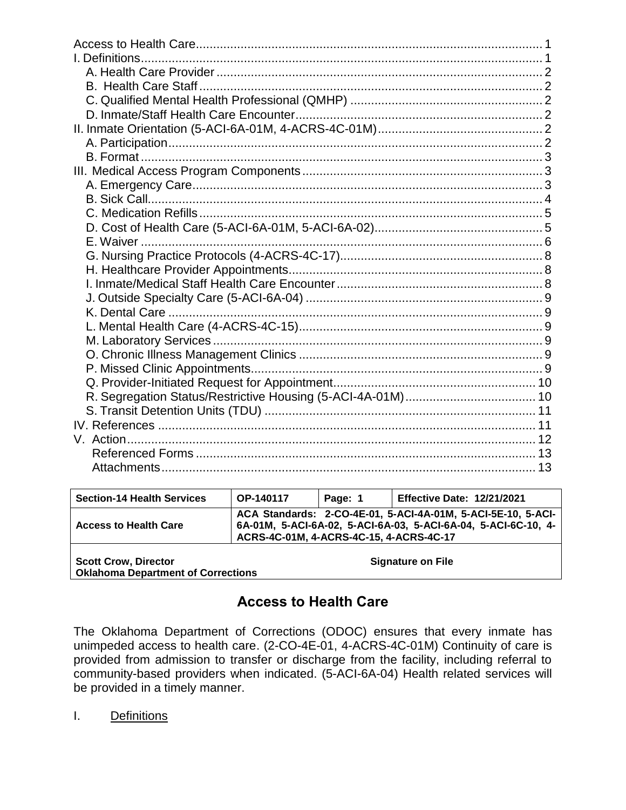| <b>Section-14 Health Services</b>                                        | <b>OP-140117</b>                        | Page: 1 | <b>Effective Date: 12/21/2021</b>                                                                                              |
|--------------------------------------------------------------------------|-----------------------------------------|---------|--------------------------------------------------------------------------------------------------------------------------------|
| <b>Access to Health Care</b>                                             | ACRS-4C-01M, 4-ACRS-4C-15, 4-ACRS-4C-17 |         | ACA Standards: 2-CO-4E-01, 5-ACI-4A-01M, 5-ACI-5E-10, 5-ACI-<br>6A-01M, 5-ACI-6A-02, 5-ACI-6A-03, 5-ACI-6A-04, 5-ACI-6C-10, 4- |
| <b>Scott Crow, Director</b><br><b>Oklahoma Department of Corrections</b> |                                         |         | <b>Signature on File</b>                                                                                                       |

# **Access to Health Care**

<span id="page-0-0"></span>The Oklahoma Department of Corrections (ODOC) ensures that every inmate has unimpeded access to health care. (2-CO-4E-01, 4-ACRS-4C-01M) Continuity of care is provided from admission to transfer or discharge from the facility, including referral to community-based providers when indicated. (5-ACI-6A-04) Health related services will be provided in a timely manner.

<span id="page-0-1"></span>I. Definitions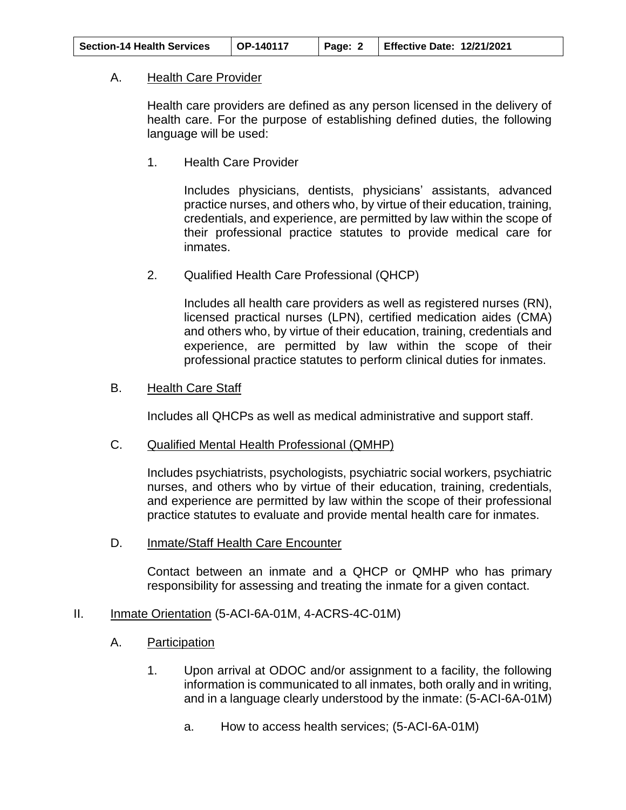<span id="page-1-0"></span>

| <b>Section-14 Health Services</b> | $\mid$ OP-140117 | Page: $2$ | Effective Date: 12/21/2021 |
|-----------------------------------|------------------|-----------|----------------------------|
|-----------------------------------|------------------|-----------|----------------------------|

## A. Health Care Provider

Health care providers are defined as any person licensed in the delivery of health care. For the purpose of establishing defined duties, the following language will be used:

1. Health Care Provider

Includes physicians, dentists, physicians' assistants, advanced practice nurses, and others who, by virtue of their education, training, credentials, and experience, are permitted by law within the scope of their professional practice statutes to provide medical care for inmates.

2. Qualified Health Care Professional (QHCP)

Includes all health care providers as well as registered nurses (RN), licensed practical nurses (LPN), certified medication aides (CMA) and others who, by virtue of their education, training, credentials and experience, are permitted by law within the scope of their professional practice statutes to perform clinical duties for inmates.

#### <span id="page-1-1"></span>B. Health Care Staff

Includes all QHCPs as well as medical administrative and support staff.

<span id="page-1-2"></span>C. Qualified Mental Health Professional (QMHP)

Includes psychiatrists, psychologists, psychiatric social workers, psychiatric nurses, and others who by virtue of their education, training, credentials, and experience are permitted by law within the scope of their professional practice statutes to evaluate and provide mental health care for inmates.

<span id="page-1-3"></span>D. Inmate/Staff Health Care Encounter

Contact between an inmate and a QHCP or QMHP who has primary responsibility for assessing and treating the inmate for a given contact.

# <span id="page-1-5"></span><span id="page-1-4"></span>II. Inmate Orientation (5-ACI-6A-01M, 4-ACRS-4C-01M)

- A. Participation
	- 1. Upon arrival at ODOC and/or assignment to a facility, the following information is communicated to all inmates, both orally and in writing, and in a language clearly understood by the inmate: (5-ACI-6A-01M)
		- a. How to access health services; (5-ACI-6A-01M)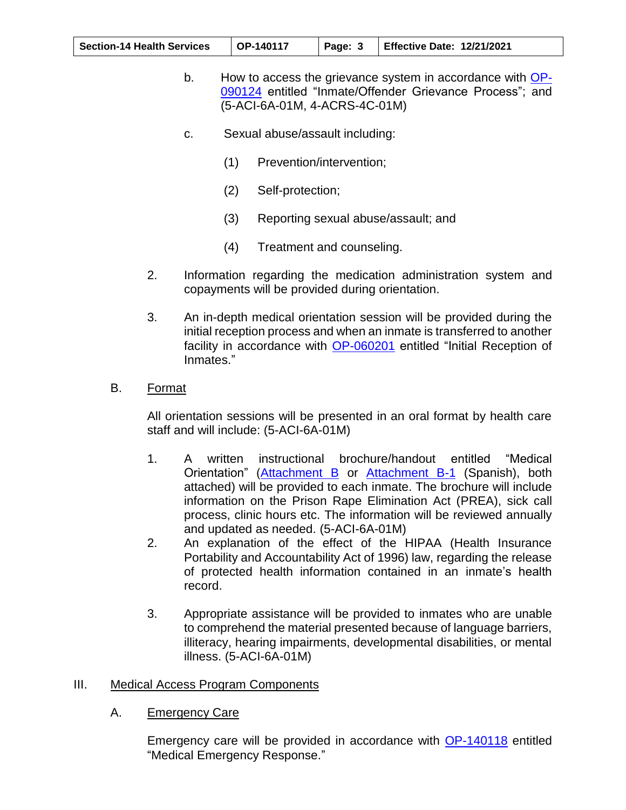| <b>Section-14 Health Services</b> | $\overline{)$ OP-140117 | Page: 3 | Effective Date: 12/21/2021 |
|-----------------------------------|-------------------------|---------|----------------------------|
|-----------------------------------|-------------------------|---------|----------------------------|

- b. How to access the grievance system in accordance with [OP-](https://oklahoma.gov/content/dam/ok/en/doc/documents/policy/section-09/op090124.pdf)[090124](https://oklahoma.gov/content/dam/ok/en/doc/documents/policy/section-09/op090124.pdf) entitled "Inmate/Offender Grievance Process"; and (5-ACI-6A-01M, 4-ACRS-4C-01M)
- c. Sexual abuse/assault including:
	- (1) Prevention/intervention;
	- (2) Self-protection;
	- (3) Reporting sexual abuse/assault; and
	- (4) Treatment and counseling.
- 2. Information regarding the medication administration system and copayments will be provided during orientation.
- 3. An in-depth medical orientation session will be provided during the initial reception process and when an inmate is transferred to another facility in accordance with [OP-060201](https://oklahoma.gov/content/dam/ok/en/doc/documents/policy/section-06/op060201.pdf) entitled "Initial Reception of Inmates."
- <span id="page-2-0"></span>B. Format

All orientation sessions will be presented in an oral format by health care staff and will include: (5-ACI-6A-01M)

- 1. A written instructional brochure/handout entitled "Medical Orientation" [\(Attachment B](https://oklahoma.gov/content/dam/ok/en/doc/documents/policy/section-14/140117ab.pdf) or [Attachment B-1](https://oklahoma.gov/content/dam/ok/en/doc/documents/policy/section-14/140117ab1.pdf) (Spanish), both attached) will be provided to each inmate. The brochure will include information on the Prison Rape Elimination Act (PREA), sick call process, clinic hours etc. The information will be reviewed annually and updated as needed. (5-ACI-6A-01M)
- 2. An explanation of the effect of the HIPAA (Health Insurance Portability and Accountability Act of 1996) law, regarding the release of protected health information contained in an inmate's health record.
- 3. Appropriate assistance will be provided to inmates who are unable to comprehend the material presented because of language barriers, illiteracy, hearing impairments, developmental disabilities, or mental illness. (5-ACI-6A-01M)

#### <span id="page-2-2"></span><span id="page-2-1"></span>III. Medical Access Program Components

A. Emergency Care

Emergency care will be provided in accordance with [OP-140118](https://oklahoma.gov/content/dam/ok/en/doc/documents/policy/section-14/op140118.pdf) entitled "Medical Emergency Response."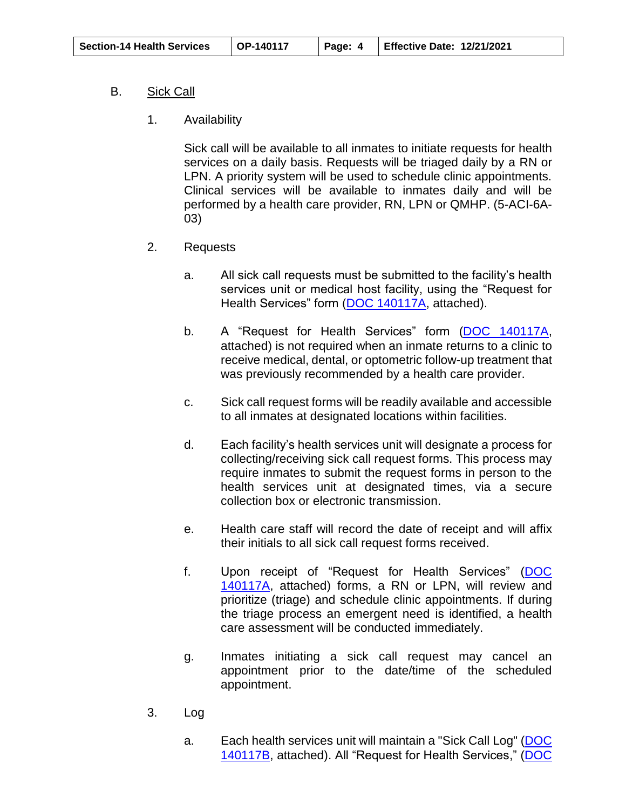## <span id="page-3-0"></span>B. Sick Call

1. Availability

Sick call will be available to all inmates to initiate requests for health services on a daily basis. Requests will be triaged daily by a RN or LPN. A priority system will be used to schedule clinic appointments. Clinical services will be available to inmates daily and will be performed by a health care provider, RN, LPN or QMHP. (5-ACI-6A-03)

- 2. Requests
	- a. All sick call requests must be submitted to the facility's health services unit or medical host facility, using the "Request for Health Services" form [\(DOC 140117A,](https://oklahoma.gov/content/dam/ok/en/doc/documents/policy/section-14/140117a.pdf) attached).
	- b. A "Request for Health Services" form [\(DOC 140117A,](https://oklahoma.gov/content/dam/ok/en/doc/documents/policy/section-14/140117a.pdf) attached) is not required when an inmate returns to a clinic to receive medical, dental, or optometric follow-up treatment that was previously recommended by a health care provider.
	- c. Sick call request forms will be readily available and accessible to all inmates at designated locations within facilities.
	- d. Each facility's health services unit will designate a process for collecting/receiving sick call request forms. This process may require inmates to submit the request forms in person to the health services unit at designated times, via a secure collection box or electronic transmission.
	- e. Health care staff will record the date of receipt and will affix their initials to all sick call request forms received.
	- f. Upon receipt of "Request for Health Services" [\(DOC](https://oklahoma.gov/content/dam/ok/en/doc/documents/policy/section-14/140117a.pdf)  [140117A,](https://oklahoma.gov/content/dam/ok/en/doc/documents/policy/section-14/140117a.pdf) attached) forms, a RN or LPN, will review and prioritize (triage) and schedule clinic appointments. If during the triage process an emergent need is identified, a health care assessment will be conducted immediately.
	- g. Inmates initiating a sick call request may cancel an appointment prior to the date/time of the scheduled appointment.
- 3. Log
	- a. Each health services unit will maintain a "Sick Call Log" [\(DOC](https://oklahoma.gov/content/dam/ok/en/doc/documents/policy/section-14/140117b.pdf)  [140117B,](https://oklahoma.gov/content/dam/ok/en/doc/documents/policy/section-14/140117b.pdf) attached). All "Request for Health Services," [\(DOC](https://oklahoma.gov/content/dam/ok/en/doc/documents/policy/section-14/140117a.pdf)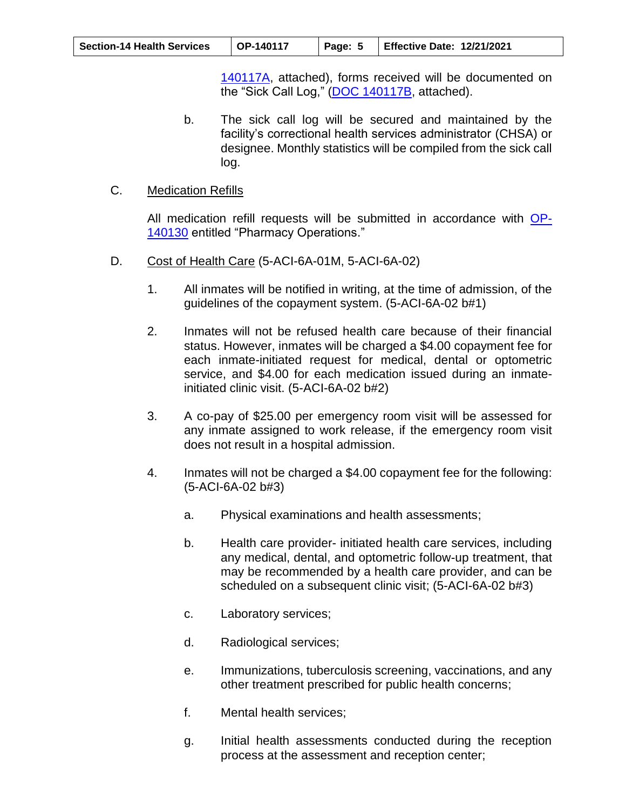| <b>Section-14 Health Services</b> | $\mid$ OP-140117 | Page: $5$   Effective Date: 12/21/2021 |
|-----------------------------------|------------------|----------------------------------------|
|                                   |                  |                                        |

[140117A,](https://oklahoma.gov/content/dam/ok/en/doc/documents/policy/section-14/140117a.pdf) attached), forms received will be documented on the "Sick Call Log," [\(DOC 140117B,](https://oklahoma.gov/content/dam/ok/en/doc/documents/policy/section-14/140117a.pdf) attached).

b. The sick call log will be secured and maintained by the facility's correctional health services administrator (CHSA) or designee. Monthly statistics will be compiled from the sick call log.

## <span id="page-4-0"></span>C. Medication Refills

All medication refill requests will be submitted in accordance with [OP-](https://oklahoma.gov/content/dam/ok/en/doc/documents/policy/section-14/op140130.pdf)[140130](https://oklahoma.gov/content/dam/ok/en/doc/documents/policy/section-14/op140130.pdf) entitled "Pharmacy Operations."

- <span id="page-4-1"></span>D. Cost of Health Care (5-ACI-6A-01M, 5-ACI-6A-02)
	- 1. All inmates will be notified in writing, at the time of admission, of the guidelines of the copayment system. (5-ACI-6A-02 b#1)
	- 2. Inmates will not be refused health care because of their financial status. However, inmates will be charged a \$4.00 copayment fee for each inmate-initiated request for medical, dental or optometric service, and \$4.00 for each medication issued during an inmateinitiated clinic visit. (5-ACI-6A-02 b#2)
	- 3. A co-pay of \$25.00 per emergency room visit will be assessed for any inmate assigned to work release, if the emergency room visit does not result in a hospital admission.
	- 4. Inmates will not be charged a \$4.00 copayment fee for the following: (5-ACI-6A-02 b#3)
		- a. Physical examinations and health assessments;
		- b. Health care provider- initiated health care services, including any medical, dental, and optometric follow-up treatment, that may be recommended by a health care provider, and can be scheduled on a subsequent clinic visit; (5-ACI-6A-02 b#3)
		- c. Laboratory services;
		- d. Radiological services;
		- e. Immunizations, tuberculosis screening, vaccinations, and any other treatment prescribed for public health concerns;
		- f. Mental health services;
		- g. Initial health assessments conducted during the reception process at the assessment and reception center;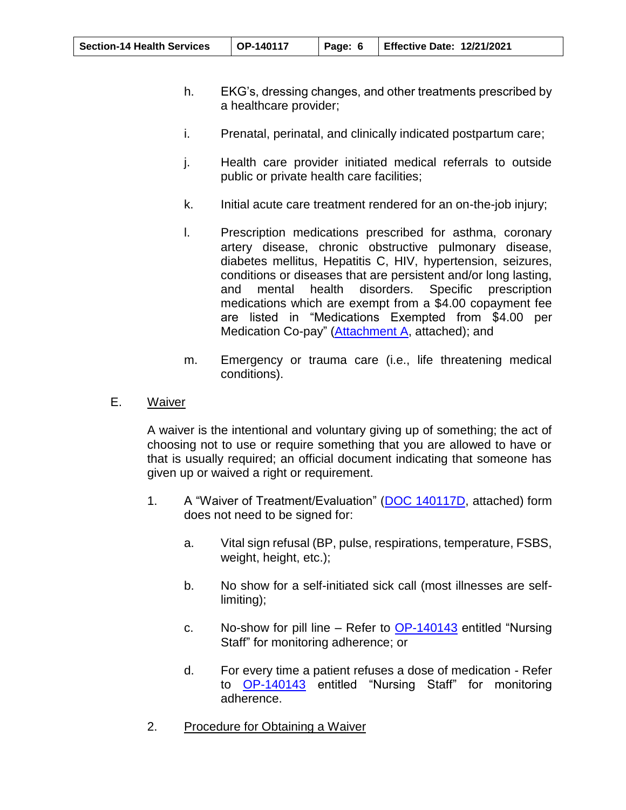| <b>Section-14 Health Services</b> | $\overline{O}P-140117$ |  | Page: 6   Effective Date: 12/21/2021 |
|-----------------------------------|------------------------|--|--------------------------------------|
|-----------------------------------|------------------------|--|--------------------------------------|

- h. EKG's, dressing changes, and other treatments prescribed by a healthcare provider;
- i. Prenatal, perinatal, and clinically indicated postpartum care;
- j. Health care provider initiated medical referrals to outside public or private health care facilities;
- k. Initial acute care treatment rendered for an on-the-job injury;
- l. Prescription medications prescribed for asthma, coronary artery disease, chronic obstructive pulmonary disease, diabetes mellitus, Hepatitis C, HIV, hypertension, seizures, conditions or diseases that are persistent and/or long lasting, and mental health disorders. Specific prescription medications which are exempt from a \$4.00 copayment fee are listed in "Medications Exempted from \$4.00 per Medication Co-pay" [\(Attachment A,](https://oklahoma.gov/content/dam/ok/en/doc/documents/policy/section-14/140117aa.pdf) attached); and
- m. Emergency or trauma care (i.e., life threatening medical conditions).
- <span id="page-5-0"></span>E. Waiver

A waiver is the intentional and voluntary giving up of something; the act of choosing not to use or require something that you are allowed to have or that is usually required; an official document indicating that someone has given up or waived a right or requirement.

- 1. A "Waiver of Treatment/Evaluation" [\(DOC 140117D,](https://oklahoma.gov/content/dam/ok/en/doc/documents/policy/section-14/140117d.pdf) attached) form does not need to be signed for:
	- a. Vital sign refusal (BP, pulse, respirations, temperature, FSBS, weight, height, etc.);
	- b. No show for a self-initiated sick call (most illnesses are selflimiting);
	- c. No-show for pill line  $-$  Refer to [OP-140143](https://oklahoma.gov/content/dam/ok/en/doc/documents/policy/section-14/op140143.pdf) entitled "Nursing" Staff" for monitoring adherence; or
	- d. For every time a patient refuses a dose of medication Refer to [OP-140143](https://oklahoma.gov/content/dam/ok/en/doc/documents/policy/section-14/op140143.pdf) entitled "Nursing Staff" for monitoring adherence.
- 2. Procedure for Obtaining a Waiver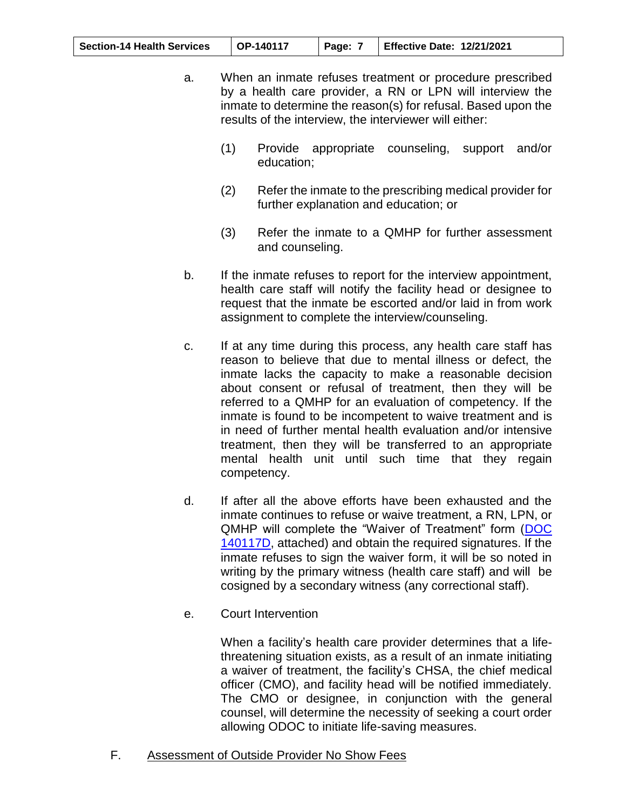| <b>Section-14 Health Services</b><br>$\mid$ OP-140117 | Page: | Effective Date: 12/21/2021 |
|-------------------------------------------------------|-------|----------------------------|
|-------------------------------------------------------|-------|----------------------------|

- a. When an inmate refuses treatment or procedure prescribed by a health care provider, a RN or LPN will interview the inmate to determine the reason(s) for refusal. Based upon the results of the interview, the interviewer will either:
	- (1) Provide appropriate counseling, support and/or education;
	- (2) Refer the inmate to the prescribing medical provider for further explanation and education; or
	- (3) Refer the inmate to a QMHP for further assessment and counseling.
- b. If the inmate refuses to report for the interview appointment, health care staff will notify the facility head or designee to request that the inmate be escorted and/or laid in from work assignment to complete the interview/counseling.
- c. If at any time during this process, any health care staff has reason to believe that due to mental illness or defect, the inmate lacks the capacity to make a reasonable decision about consent or refusal of treatment, then they will be referred to a QMHP for an evaluation of competency. If the inmate is found to be incompetent to waive treatment and is in need of further mental health evaluation and/or intensive treatment, then they will be transferred to an appropriate mental health unit until such time that they regain competency.
- d. If after all the above efforts have been exhausted and the inmate continues to refuse or waive treatment, a RN, LPN, or QMHP will complete the "Waiver of Treatment" form [\(DOC](https://oklahoma.gov/content/dam/ok/en/doc/documents/policy/section-14/140117d.pdf)  [140117D,](https://oklahoma.gov/content/dam/ok/en/doc/documents/policy/section-14/140117d.pdf) attached) and obtain the required signatures. If the inmate refuses to sign the waiver form, it will be so noted in writing by the primary witness (health care staff) and will be cosigned by a secondary witness (any correctional staff).
- e. Court Intervention

When a facility's health care provider determines that a lifethreatening situation exists, as a result of an inmate initiating a waiver of treatment, the facility's CHSA, the chief medical officer (CMO), and facility head will be notified immediately. The CMO or designee, in conjunction with the general counsel, will determine the necessity of seeking a court order allowing ODOC to initiate life-saving measures.

F. Assessment of Outside Provider No Show Fees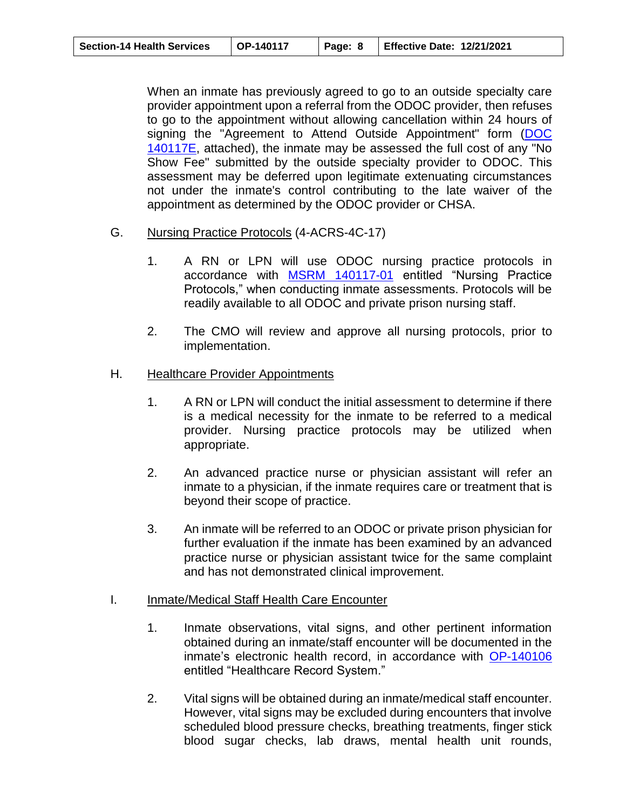| <b>Section-14 Health Services</b> | $\mid$ OP-140117 | Page: 8   Effective Date: 12/21/2021 |
|-----------------------------------|------------------|--------------------------------------|
|                                   |                  |                                      |

When an inmate has previously agreed to go to an outside specialty care provider appointment upon a referral from the ODOC provider, then refuses to go to the appointment without allowing cancellation within 24 hours of signing the "Agreement to Attend Outside Appointment" form [\(DOC](https://oklahoma.gov/content/dam/ok/en/doc/documents/policy/section-14/140117e.pdf)  [140117E,](https://oklahoma.gov/content/dam/ok/en/doc/documents/policy/section-14/140117e.pdf) attached), the inmate may be assessed the full cost of any "No Show Fee" submitted by the outside specialty provider to ODOC. This assessment may be deferred upon legitimate extenuating circumstances not under the inmate's control contributing to the late waiver of the appointment as determined by the ODOC provider or CHSA.

- <span id="page-7-0"></span>G. Nursing Practice Protocols (4-ACRS-4C-17)
	- 1. A RN or LPN will use ODOC nursing practice protocols in accordance with [MSRM 140117-01](https://oklahoma.gov/content/dam/ok/en/doc/documents/policy/section-14/msrm/msrm_140117.01.pdf) entitled "Nursing Practice Protocols," when conducting inmate assessments. Protocols will be readily available to all ODOC and private prison nursing staff.
	- 2. The CMO will review and approve all nursing protocols, prior to implementation.

#### <span id="page-7-1"></span>H. Healthcare Provider Appointments

- 1. A RN or LPN will conduct the initial assessment to determine if there is a medical necessity for the inmate to be referred to a medical provider. Nursing practice protocols may be utilized when appropriate.
- 2. An advanced practice nurse or physician assistant will refer an inmate to a physician, if the inmate requires care or treatment that is beyond their scope of practice.
- 3. An inmate will be referred to an ODOC or private prison physician for further evaluation if the inmate has been examined by an advanced practice nurse or physician assistant twice for the same complaint and has not demonstrated clinical improvement.

# <span id="page-7-2"></span>I. Inmate/Medical Staff Health Care Encounter

- 1. Inmate observations, vital signs, and other pertinent information obtained during an inmate/staff encounter will be documented in the inmate's electronic health record, in accordance with [OP-140106](https://oklahoma.gov/content/dam/ok/en/doc/documents/policy/section-14/op140106.pdf)  entitled "Healthcare Record System."
- 2. Vital signs will be obtained during an inmate/medical staff encounter. However, vital signs may be excluded during encounters that involve scheduled blood pressure checks, breathing treatments, finger stick blood sugar checks, lab draws, mental health unit rounds,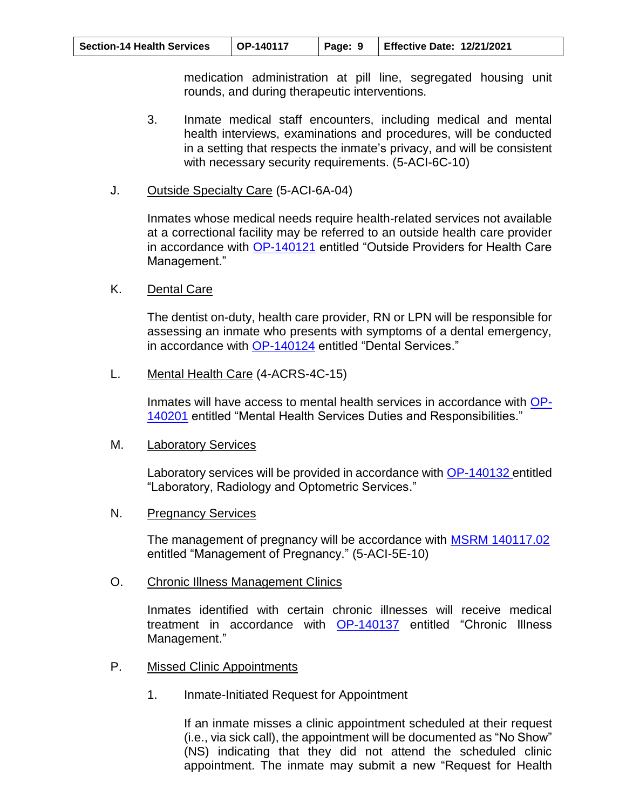| $\overline{O}P-140117$<br>Page: 9   Effective Date: 12/21/2021<br><b>Section-14 Health Services</b> |
|-----------------------------------------------------------------------------------------------------|
|-----------------------------------------------------------------------------------------------------|

medication administration at pill line, segregated housing unit rounds, and during therapeutic interventions.

- 3. Inmate medical staff encounters, including medical and mental health interviews, examinations and procedures, will be conducted in a setting that respects the inmate's privacy, and will be consistent with necessary security requirements. (5-ACI-6C-10)
- <span id="page-8-0"></span>J. Outside Specialty Care (5-ACI-6A-04)

Inmates whose medical needs require health-related services not available at a correctional facility may be referred to an outside health care provider in accordance with [OP-140121](https://oklahoma.gov/content/dam/ok/en/doc/documents/policy/section-14/op140121.pdf) entitled "Outside Providers for Health Care Management."

<span id="page-8-1"></span>K. Dental Care

The dentist on-duty, health care provider, RN or LPN will be responsible for assessing an inmate who presents with symptoms of a dental emergency, in accordance with [OP-140124](https://oklahoma.gov/content/dam/ok/en/doc/documents/policy/section-14/op140124.pdf) entitled "Dental Services."

<span id="page-8-2"></span>L. Mental Health Care (4-ACRS-4C-15)

Inmates will have access to mental health services in accordance with [OP-](https://oklahoma.gov/content/dam/ok/en/doc/documents/policy/section-14/op140201.pdf)[140201](https://oklahoma.gov/content/dam/ok/en/doc/documents/policy/section-14/op140201.pdf) entitled "Mental Health Services Duties and Responsibilities."

<span id="page-8-3"></span>M. Laboratory Services

Laboratory services will be provided in accordance with [OP-140132 e](https://oklahoma.gov/content/dam/ok/en/doc/documents/policy/section-14/op140132.pdf)ntitled "Laboratory, Radiology and Optometric Services."

N. Pregnancy Services

The management of pregnancy will be accordance with **MSRM 140117.02** entitled "Management of Pregnancy." (5-ACI-5E-10)

<span id="page-8-4"></span>O. Chronic Illness Management Clinics

Inmates identified with certain chronic illnesses will receive medical treatment in accordance with [OP-140137](https://oklahoma.gov/content/dam/ok/en/doc/documents/policy/section-14/op140137.pdf) entitled "Chronic Illness Management."

- <span id="page-8-5"></span>P. Missed Clinic Appointments
	- 1. Inmate-Initiated Request for Appointment

If an inmate misses a clinic appointment scheduled at their request (i.e., via sick call), the appointment will be documented as "No Show" (NS) indicating that they did not attend the scheduled clinic appointment. The inmate may submit a new "Request for Health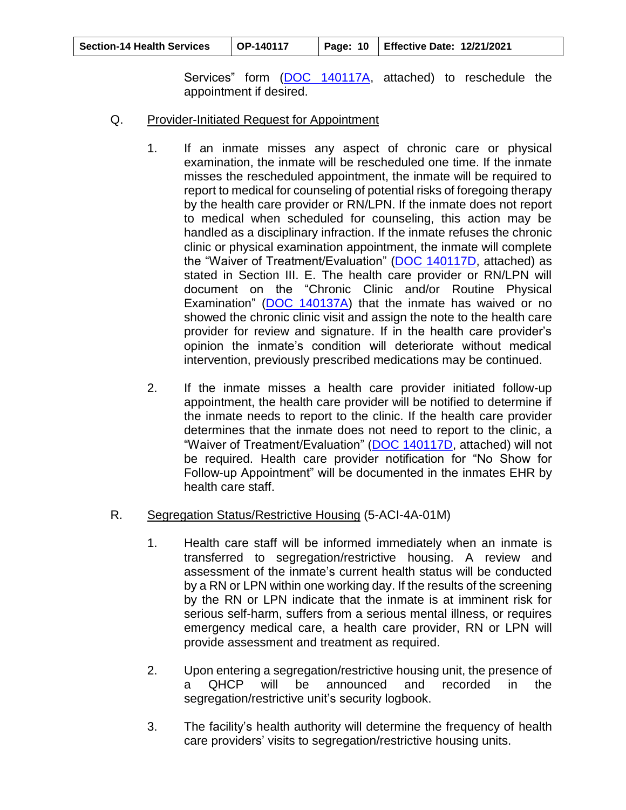| <b>Section-14 Health Services</b> | OP-140117 |  | Page: 10   Effective Date: 12/21/2021 |
|-----------------------------------|-----------|--|---------------------------------------|
|-----------------------------------|-----------|--|---------------------------------------|

Services" form [\(DOC 140117A,](https://oklahoma.gov/content/dam/ok/en/doc/documents/policy/section-14/140117a.pdf) attached) to reschedule the appointment if desired.

- <span id="page-9-0"></span>Q. Provider-Initiated Request for Appointment
	- 1. If an inmate misses any aspect of chronic care or physical examination, the inmate will be rescheduled one time. If the inmate misses the rescheduled appointment, the inmate will be required to report to medical for counseling of potential risks of foregoing therapy by the health care provider or RN/LPN. If the inmate does not report to medical when scheduled for counseling, this action may be handled as a disciplinary infraction. If the inmate refuses the chronic clinic or physical examination appointment, the inmate will complete the "Waiver of Treatment/Evaluation" [\(DOC 140117D,](https://oklahoma.gov/content/dam/ok/en/doc/documents/policy/section-14/140117d.pdf) attached) as stated in Section III. E. The health care provider or RN/LPN will document on the "Chronic Clinic and/or Routine Physical Examination" [\(DOC 140137A\)](https://oklahoma.gov/content/dam/ok/en/doc/documents/policy/section-14/140137a.pdf) that the inmate has waived or no showed the chronic clinic visit and assign the note to the health care provider for review and signature. If in the health care provider's opinion the inmate's condition will deteriorate without medical intervention, previously prescribed medications may be continued.
	- 2. If the inmate misses a health care provider initiated follow-up appointment, the health care provider will be notified to determine if the inmate needs to report to the clinic. If the health care provider determines that the inmate does not need to report to the clinic, a "Waiver of Treatment/Evaluation" [\(DOC 140117D,](https://oklahoma.gov/content/dam/ok/en/doc/documents/policy/section-14/140117d.pdf) attached) will not be required. Health care provider notification for "No Show for Follow-up Appointment" will be documented in the inmates EHR by health care staff.

# <span id="page-9-1"></span>R. Segregation Status/Restrictive Housing (5-ACI-4A-01M)

- 1. Health care staff will be informed immediately when an inmate is transferred to segregation/restrictive housing. A review and assessment of the inmate's current health status will be conducted by a RN or LPN within one working day. If the results of the screening by the RN or LPN indicate that the inmate is at imminent risk for serious self-harm, suffers from a serious mental illness, or requires emergency medical care, a health care provider, RN or LPN will provide assessment and treatment as required.
- 2. Upon entering a segregation/restrictive housing unit, the presence of a QHCP will be announced and recorded in the segregation/restrictive unit's security logbook.
- 3. The facility's health authority will determine the frequency of health care providers' visits to segregation/restrictive housing units.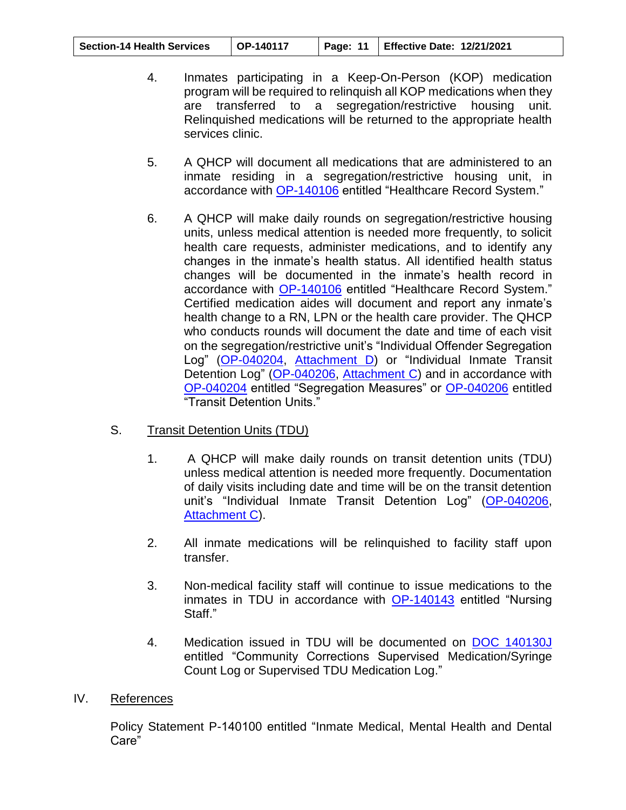| <b>Section-14 Health Services</b> | OP-140117 |  | Page: 11   Effective Date: 12/21/2021 |
|-----------------------------------|-----------|--|---------------------------------------|
|-----------------------------------|-----------|--|---------------------------------------|

- 4. Inmates participating in a Keep-On-Person (KOP) medication program will be required to relinquish all KOP medications when they are transferred to a segregation/restrictive housing unit. Relinquished medications will be returned to the appropriate health services clinic.
- 5. A QHCP will document all medications that are administered to an inmate residing in a segregation/restrictive housing unit, in accordance with [OP-140106](https://oklahoma.gov/content/dam/ok/en/doc/documents/policy/section-14/op140106.pdf) entitled "Healthcare Record System."
- 6. A QHCP will make daily rounds on segregation/restrictive housing units, unless medical attention is needed more frequently, to solicit health care requests, administer medications, and to identify any changes in the inmate's health status. All identified health status changes will be documented in the inmate's health record in accordance with [OP-140106](https://oklahoma.gov/content/dam/ok/en/doc/documents/policy/section-14/op140106.pdf) entitled "Healthcare Record System." Certified medication aides will document and report any inmate's health change to a RN, LPN or the health care provider. The QHCP who conducts rounds will document the date and time of each visit on the segregation/restrictive unit's "Individual Offender Segregation Log" [\(OP-040204,](https://oklahoma.gov/content/dam/ok/en/doc/documents/policy/section-04/op040204.pdf) [Attachment D\)](https://oklahoma.gov/content/dam/ok/en/doc/documents/policy/section-04/040204ac.pdf) or "Individual Inmate Transit Detention Log" [\(OP-040206,](https://oklahoma.gov/content/dam/ok/en/doc/documents/policy/section-04/op040206.pdf) [Attachment C\)](https://oklahoma.gov/content/dam/ok/en/doc/documents/policy/section-04/040206ac.pdf) and in accordance with [OP-040204](https://oklahoma.gov/content/dam/ok/en/doc/documents/policy/section-04/op040204.pdf) entitled "Segregation Measures" or [OP-040206](https://oklahoma.gov/content/dam/ok/en/doc/documents/policy/section-04/op040206.pdf) entitled "Transit Detention Units."

# <span id="page-10-0"></span>S. Transit Detention Units (TDU)

- 1. A QHCP will make daily rounds on transit detention units (TDU) unless medical attention is needed more frequently. Documentation of daily visits including date and time will be on the transit detention unit's "Individual Inmate Transit Detention Log" [\(OP-040206,](https://oklahoma.gov/content/dam/ok/en/doc/documents/policy/section-04/op040206.pdf) [Attachment C\)](https://oklahoma.gov/content/dam/ok/en/doc/documents/policy/section-04/040206ac.pdf).
- 2. All inmate medications will be relinquished to facility staff upon transfer.
- 3. Non-medical facility staff will continue to issue medications to the inmates in TDU in accordance with [OP-140143](https://oklahoma.gov/content/dam/ok/en/doc/documents/policy/section-14/140143.pdf) entitled "Nursing Staff."
- 4. Medication issued in TDU will be documented on [DOC 140130J](https://oklahoma.gov/content/dam/ok/en/doc/documents/policy/section-14/140130j.pdf) entitled "Community Corrections Supervised Medication/Syringe Count Log or Supervised TDU Medication Log."

## <span id="page-10-1"></span>IV. References

Policy Statement P-140100 entitled "Inmate Medical, Mental Health and Dental Care"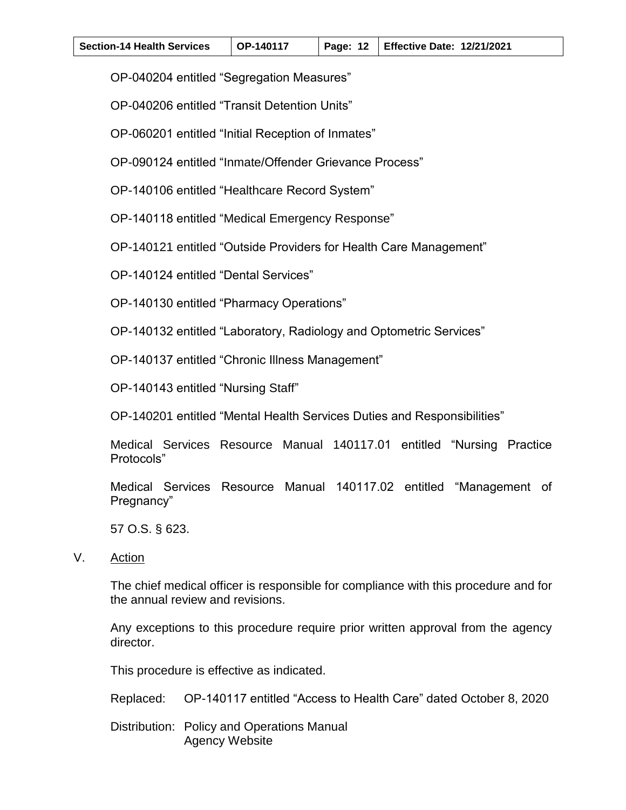| <b>Section-14 Health Services</b> | $\overline{OP}$ -140117 |  | Page: 12   Effective Date: 12/21/2021 |
|-----------------------------------|-------------------------|--|---------------------------------------|
|-----------------------------------|-------------------------|--|---------------------------------------|

OP-040204 entitled "Segregation Measures"

OP-040206 entitled "Transit Detention Units"

OP-060201 entitled "Initial Reception of Inmates"

OP-090124 entitled "Inmate/Offender Grievance Process"

OP-140106 entitled "Healthcare Record System"

OP-140118 entitled "Medical Emergency Response"

OP-140121 entitled "Outside Providers for Health Care Management"

OP-140124 entitled "Dental Services"

OP-140130 entitled "Pharmacy Operations"

OP-140132 entitled "Laboratory, Radiology and Optometric Services"

OP-140137 entitled "Chronic Illness Management"

OP-140143 entitled "Nursing Staff"

OP-140201 entitled "Mental Health Services Duties and Responsibilities"

Medical Services Resource Manual 140117.01 entitled "Nursing Practice Protocols"

Medical Services Resource Manual 140117.02 entitled "Management of Pregnancy"

57 O.S. § 623.

<span id="page-11-0"></span>V. Action

The chief medical officer is responsible for compliance with this procedure and for the annual review and revisions.

Any exceptions to this procedure require prior written approval from the agency director.

This procedure is effective as indicated.

Replaced: OP-140117 entitled "Access to Health Care" dated October 8, 2020

Distribution: Policy and Operations Manual Agency Website